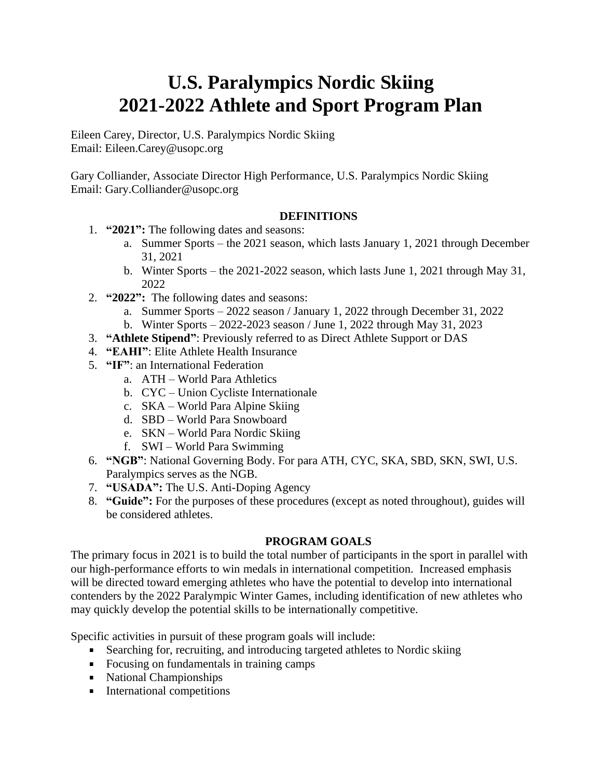# **U.S. Paralympics Nordic Skiing 2021-2022 Athlete and Sport Program Plan**

Eileen Carey, Director, U.S. Paralympics Nordic Skiing Email: Eileen.Carey@usopc.org

Gary Colliander, Associate Director High Performance, U.S. Paralympics Nordic Skiing Email: Gary.Colliander@usopc.org

## **DEFINITIONS**

- 1. **"2021":** The following dates and seasons:
	- a. Summer Sports the 2021 season, which lasts January 1, 2021 through December 31, 2021
	- b. Winter Sports the 2021-2022 season, which lasts June 1, 2021 through May 31, 2022
- 2. **"2022":** The following dates and seasons:
	- a. Summer Sports 2022 season / January 1, 2022 through December 31, 2022
	- b. Winter Sports 2022-2023 season / June 1, 2022 through May 31, 2023
- 3. **"Athlete Stipend"**: Previously referred to as Direct Athlete Support or DAS
- 4. **"EAHI"**: Elite Athlete Health Insurance
- 5. **"IF"**: an International Federation
	- a. ATH World Para Athletics
	- b. CYC Union Cycliste Internationale
	- c. SKA World Para Alpine Skiing
	- d. SBD World Para Snowboard
	- e. SKN World Para Nordic Skiing
	- f. SWI World Para Swimming
- 6. **"NGB"**: National Governing Body. For para ATH, CYC, SKA, SBD, SKN, SWI, U.S. Paralympics serves as the NGB.
- 7. **"USADA":** The U.S. Anti-Doping Agency
- 8. **"Guide":** For the purposes of these procedures (except as noted throughout), guides will be considered athletes.

## **PROGRAM GOALS**

The primary focus in 2021 is to build the total number of participants in the sport in parallel with our high-performance efforts to win medals in international competition. Increased emphasis will be directed toward emerging athletes who have the potential to develop into international contenders by the 2022 Paralympic Winter Games, including identification of new athletes who may quickly develop the potential skills to be internationally competitive.

Specific activities in pursuit of these program goals will include:

- Searching for, recruiting, and introducing targeted athletes to Nordic skiing
- Focusing on fundamentals in training camps
- National Championships
- **International competitions**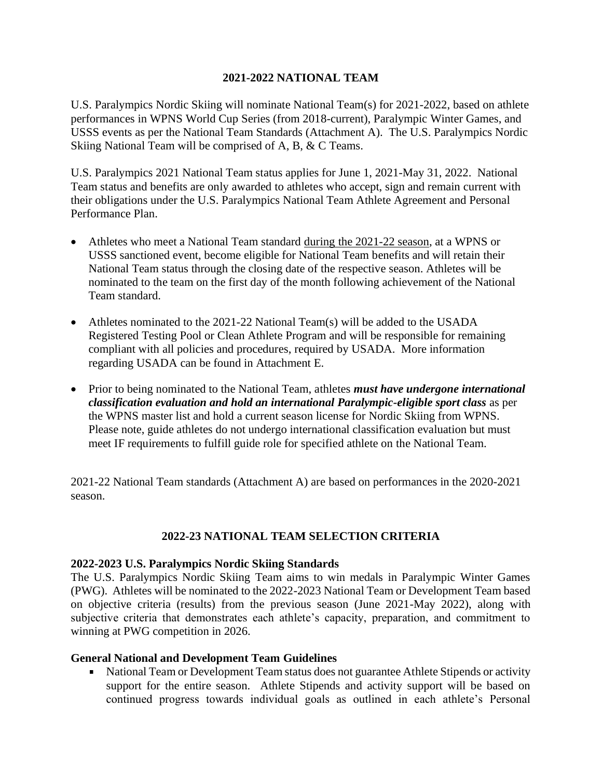#### **2021-2022 NATIONAL TEAM**

U.S. Paralympics Nordic Skiing will nominate National Team(s) for 2021-2022, based on athlete performances in WPNS World Cup Series (from 2018-current), Paralympic Winter Games, and USSS events as per the National Team Standards (Attachment A). The U.S. Paralympics Nordic Skiing National Team will be comprised of A, B, & C Teams.

U.S. Paralympics 2021 National Team status applies for June 1, 2021-May 31, 2022. National Team status and benefits are only awarded to athletes who accept, sign and remain current with their obligations under the U.S. Paralympics National Team Athlete Agreement and Personal Performance Plan.

- Athletes who meet a National Team standard during the 2021-22 season, at a WPNS or USSS sanctioned event, become eligible for National Team benefits and will retain their National Team status through the closing date of the respective season. Athletes will be nominated to the team on the first day of the month following achievement of the National Team standard.
- Athletes nominated to the 2021-22 National Team(s) will be added to the USADA Registered Testing Pool or Clean Athlete Program and will be responsible for remaining compliant with all policies and procedures, required by USADA. More information regarding USADA can be found in Attachment E.
- Prior to being nominated to the National Team, athletes *must have undergone international classification evaluation and hold an international Paralympic-eligible sport class* as per the WPNS master list and hold a current season license for Nordic Skiing from WPNS. Please note, guide athletes do not undergo international classification evaluation but must meet IF requirements to fulfill guide role for specified athlete on the National Team.

2021-22 National Team standards (Attachment A) are based on performances in the 2020-2021 season.

#### **2022-23 NATIONAL TEAM SELECTION CRITERIA**

#### **2022-2023 U.S. Paralympics Nordic Skiing Standards**

The U.S. Paralympics Nordic Skiing Team aims to win medals in Paralympic Winter Games (PWG). Athletes will be nominated to the 2022-2023 National Team or Development Team based on objective criteria (results) from the previous season (June 2021-May 2022), along with subjective criteria that demonstrates each athlete's capacity, preparation, and commitment to winning at PWG competition in 2026.

#### **General National and Development Team Guidelines**

National Team or Development Team status does not guarantee Athlete Stipends or activity support for the entire season. Athlete Stipends and activity support will be based on continued progress towards individual goals as outlined in each athlete's Personal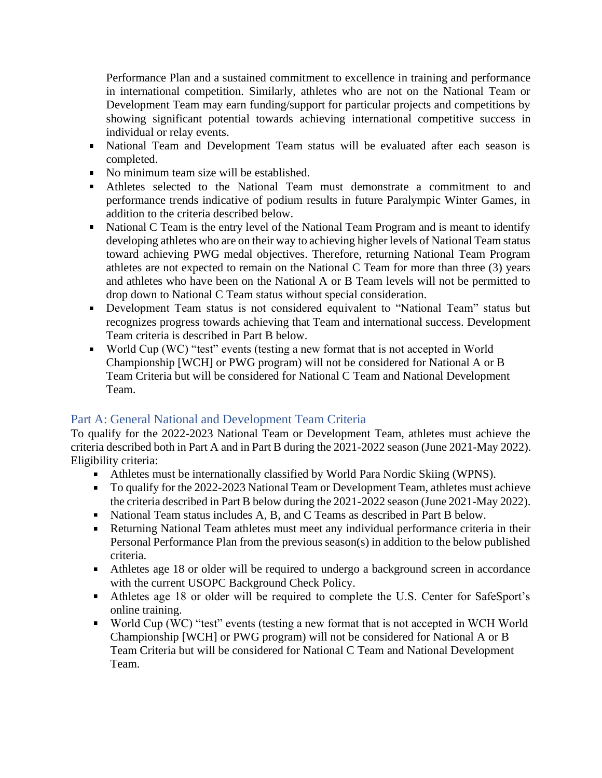Performance Plan and a sustained commitment to excellence in training and performance in international competition. Similarly, athletes who are not on the National Team or Development Team may earn funding/support for particular projects and competitions by showing significant potential towards achieving international competitive success in individual or relay events.

- National Team and Development Team status will be evaluated after each season is completed.
- No minimum team size will be established.
- Athletes selected to the National Team must demonstrate a commitment to and performance trends indicative of podium results in future Paralympic Winter Games, in addition to the criteria described below.
- National C Team is the entry level of the National Team Program and is meant to identify  $\blacksquare$ developing athletes who are on their way to achieving higher levels of National Team status toward achieving PWG medal objectives. Therefore, returning National Team Program athletes are not expected to remain on the National C Team for more than three (3) years and athletes who have been on the National A or B Team levels will not be permitted to drop down to National C Team status without special consideration.
- Development Team status is not considered equivalent to "National Team" status but recognizes progress towards achieving that Team and international success. Development Team criteria is described in Part B below.
- World Cup (WC) "test" events (testing a new format that is not accepted in World Championship [WCH] or PWG program) will not be considered for National A or B Team Criteria but will be considered for National C Team and National Development Team.

# Part A: General National and Development Team Criteria

To qualify for the 2022-2023 National Team or Development Team, athletes must achieve the criteria described both in Part A and in Part B during the 2021-2022 season (June 2021-May 2022). Eligibility criteria:

- Athletes must be internationally classified by World Para Nordic Skiing (WPNS).
- To qualify for the 2022-2023 National Team or Development Team, athletes must achieve the criteria described in Part B below during the 2021-2022 season (June 2021-May 2022).
- National Team status includes A, B, and C Teams as described in Part B below.
- $\mathbf{u}$  . Returning National Team athletes must meet any individual performance criteria in their Personal Performance Plan from the previous season(s) in addition to the below published criteria.
- Athletes age 18 or older will be required to undergo a background screen in accordance with the current USOPC Background Check Policy.
- $\mathbf{u}$  . Athletes age 18 or older will be required to complete the U.S. Center for SafeSport's online training.
- $\mathbf{u}$ World Cup (WC) "test" events (testing a new format that is not accepted in WCH World Championship [WCH] or PWG program) will not be considered for National A or B Team Criteria but will be considered for National C Team and National Development Team.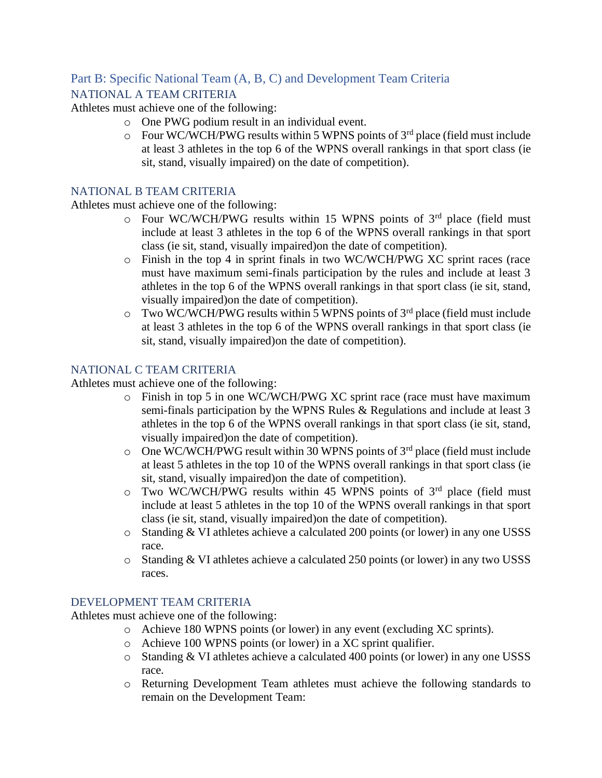# Part B: Specific National Team (A, B, C) and Development Team Criteria

## NATIONAL A TEAM CRITERIA

Athletes must achieve one of the following:

- o One PWG podium result in an individual event.
- $\circ$  Four WC/WCH/PWG results within 5 WPNS points of 3<sup>rd</sup> place (field must include at least 3 athletes in the top 6 of the WPNS overall rankings in that sport class (ie sit, stand, visually impaired) on the date of competition).

#### NATIONAL B TEAM CRITERIA

Athletes must achieve one of the following:

- $\circ$  Four WC/WCH/PWG results within 15 WPNS points of 3<sup>rd</sup> place (field must include at least 3 athletes in the top 6 of the WPNS overall rankings in that sport class (ie sit, stand, visually impaired)on the date of competition).
- o Finish in the top 4 in sprint finals in two WC/WCH/PWG XC sprint races (race must have maximum semi-finals participation by the rules and include at least 3 athletes in the top 6 of the WPNS overall rankings in that sport class (ie sit, stand, visually impaired)on the date of competition).
- $\circ$  Two WC/WCH/PWG results within 5 WPNS points of 3<sup>rd</sup> place (field must include at least 3 athletes in the top 6 of the WPNS overall rankings in that sport class (ie sit, stand, visually impaired)on the date of competition).

## NATIONAL C TEAM CRITERIA

Athletes must achieve one of the following:

- o Finish in top 5 in one WC/WCH/PWG XC sprint race (race must have maximum semi-finals participation by the WPNS Rules & Regulations and include at least 3 athletes in the top 6 of the WPNS overall rankings in that sport class (ie sit, stand, visually impaired)on the date of competition).
- $\circ$  One WC/WCH/PWG result within 30 WPNS points of 3<sup>rd</sup> place (field must include at least 5 athletes in the top 10 of the WPNS overall rankings in that sport class (ie sit, stand, visually impaired)on the date of competition).
- $\circ$  Two WC/WCH/PWG results within 45 WPNS points of 3<sup>rd</sup> place (field must include at least 5 athletes in the top 10 of the WPNS overall rankings in that sport class (ie sit, stand, visually impaired)on the date of competition).
- o Standing & VI athletes achieve a calculated 200 points (or lower) in any one USSS race.
- o Standing & VI athletes achieve a calculated 250 points (or lower) in any two USSS races.

#### DEVELOPMENT TEAM CRITERIA

Athletes must achieve one of the following:

- o Achieve 180 WPNS points (or lower) in any event (excluding XC sprints).
- o Achieve 100 WPNS points (or lower) in a XC sprint qualifier.
- o Standing & VI athletes achieve a calculated 400 points (or lower) in any one USSS race.
- o Returning Development Team athletes must achieve the following standards to remain on the Development Team: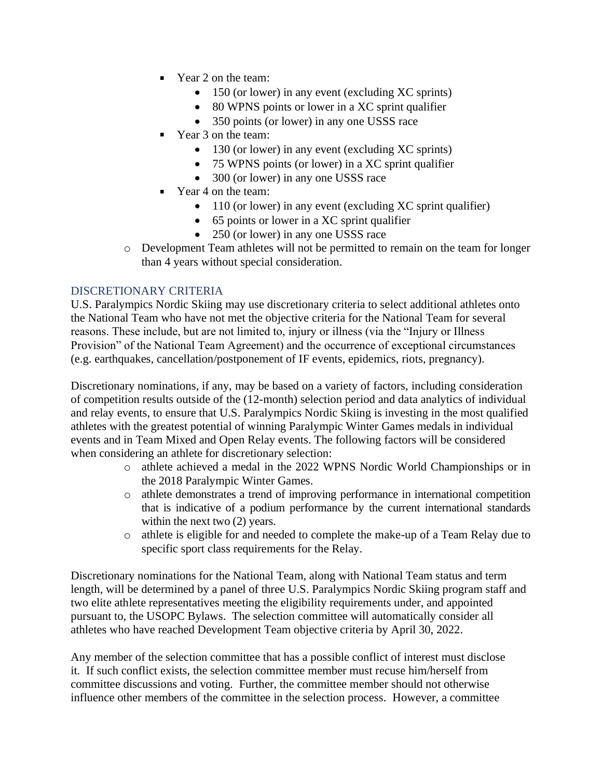- Year 2 on the team:
	- 150 (or lower) in any event (excluding XC sprints)
	- 80 WPNS points or lower in a XC sprint qualifier
	- 350 points (or lower) in any one USSS race
- Year 3 on the team:
	- 130 (or lower) in any event (excluding XC sprints)
	- 75 WPNS points (or lower) in a XC sprint qualifier
	- 300 (or lower) in any one USSS race
- Year 4 on the team:
	- 110 (or lower) in any event (excluding XC sprint qualifier)
	- 65 points or lower in a XC sprint qualifier
	- 250 (or lower) in any one USSS race
- o Development Team athletes will not be permitted to remain on the team for longer than 4 years without special consideration.

## DISCRETIONARY CRITERIA

U.S. Paralympics Nordic Skiing may use discretionary criteria to select additional athletes onto the National Team who have not met the objective criteria for the National Team for several reasons. These include, but are not limited to, injury or illness (via the "Injury or Illness Provision" of the National Team Agreement) and the occurrence of exceptional circumstances (e.g. earthquakes, cancellation/postponement of IF events, epidemics, riots, pregnancy).

Discretionary nominations, if any, may be based on a variety of factors, including consideration of competition results outside of the (12-month) selection period and data analytics of individual and relay events, to ensure that U.S. Paralympics Nordic Skiing is investing in the most qualified athletes with the greatest potential of winning Paralympic Winter Games medals in individual events and in Team Mixed and Open Relay events. The following factors will be considered when considering an athlete for discretionary selection:

- o athlete achieved a medal in the 2022 WPNS Nordic World Championships or in the 2018 Paralympic Winter Games.
- o athlete demonstrates a trend of improving performance in international competition that is indicative of a podium performance by the current international standards within the next two  $(2)$  years.
- o athlete is eligible for and needed to complete the make-up of a Team Relay due to specific sport class requirements for the Relay.

Discretionary nominations for the National Team, along with National Team status and term length, will be determined by a panel of three U.S. Paralympics Nordic Skiing program staff and two elite athlete representatives meeting the eligibility requirements under, and appointed pursuant to, the USOPC Bylaws. The selection committee will automatically consider all athletes who have reached Development Team objective criteria by April 30, 2022.

Any member of the selection committee that has a possible conflict of interest must disclose it. If such conflict exists, the selection committee member must recuse him/herself from committee discussions and voting. Further, the committee member should not otherwise influence other members of the committee in the selection process. However, a committee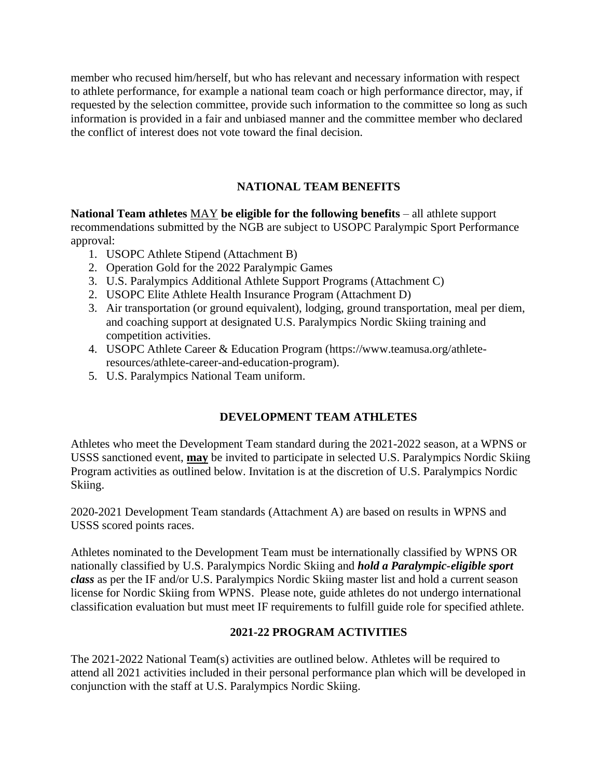member who recused him/herself, but who has relevant and necessary information with respect to athlete performance, for example a national team coach or high performance director, may, if requested by the selection committee, provide such information to the committee so long as such information is provided in a fair and unbiased manner and the committee member who declared the conflict of interest does not vote toward the final decision.

# **NATIONAL TEAM BENEFITS**

**National Team athletes** MAY **be eligible for the following benefits** – all athlete support recommendations submitted by the NGB are subject to USOPC Paralympic Sport Performance approval:

- 1. USOPC Athlete Stipend (Attachment B)
- 2. Operation Gold for the 2022 Paralympic Games
- 3. U.S. Paralympics Additional Athlete Support Programs (Attachment C)
- 2. USOPC Elite Athlete Health Insurance Program (Attachment D)
- 3. Air transportation (or ground equivalent), lodging, ground transportation, meal per diem, and coaching support at designated U.S. Paralympics Nordic Skiing training and competition activities.
- 4. USOPC Athlete Career & Education Program (https://www.teamusa.org/athleteresources/athlete-career-and-education-program).
- 5. U.S. Paralympics National Team uniform.

# **DEVELOPMENT TEAM ATHLETES**

Athletes who meet the Development Team standard during the 2021-2022 season, at a WPNS or USSS sanctioned event, **may** be invited to participate in selected U.S. Paralympics Nordic Skiing Program activities as outlined below. Invitation is at the discretion of U.S. Paralympics Nordic Skiing.

2020-2021 Development Team standards (Attachment A) are based on results in WPNS and USSS scored points races.

Athletes nominated to the Development Team must be internationally classified by WPNS OR nationally classified by U.S. Paralympics Nordic Skiing and *hold a Paralympic-eligible sport class* as per the IF and/or U.S. Paralympics Nordic Skiing master list and hold a current season license for Nordic Skiing from WPNS. Please note, guide athletes do not undergo international classification evaluation but must meet IF requirements to fulfill guide role for specified athlete.

## **2021-22 PROGRAM ACTIVITIES**

The 2021-2022 National Team(s) activities are outlined below. Athletes will be required to attend all 2021 activities included in their personal performance plan which will be developed in conjunction with the staff at U.S. Paralympics Nordic Skiing.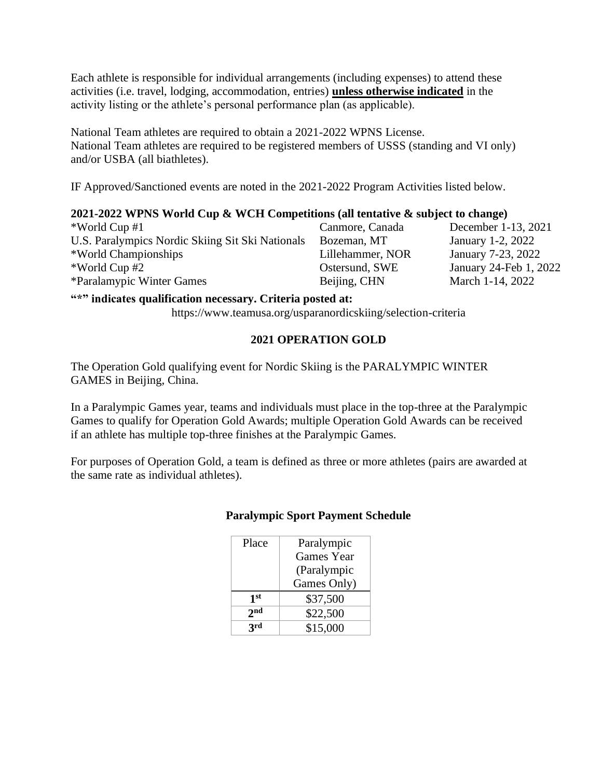Each athlete is responsible for individual arrangements (including expenses) to attend these activities (i.e. travel, lodging, accommodation, entries) **unless otherwise indicated** in the activity listing or the athlete's personal performance plan (as applicable).

National Team athletes are required to obtain a 2021-2022 WPNS License. National Team athletes are required to be registered members of USSS (standing and VI only) and/or USBA (all biathletes).

IF Approved/Sanctioned events are noted in the 2021-2022 Program Activities listed below.

#### **2021-2022 WPNS World Cup & WCH Competitions (all tentative & subject to change)**

\*World Cup #1 Canmore, Canada December 1-13, 2021 U.S. Paralympics Nordic Skiing Sit Ski Nationals \*World Championships \*World Cup #2 Ostersund, SWE January 24-Feb 1, 2022 \*Paralamypic Winter Games Beijing, CHN March 1-14, 2022

Bozeman, MT Lillehammer, NOR January 1-2, 2022 January 7-23, 2022

#### **"\*" indicates qualification necessary. Criteria posted at:**

https://www.teamusa.org/usparanordicskiing/selection-criteria

## **2021 OPERATION GOLD**

The Operation Gold qualifying event for Nordic Skiing is the PARALYMPIC WINTER GAMES in Beijing, China.

In a Paralympic Games year, teams and individuals must place in the top-three at the Paralympic Games to qualify for Operation Gold Awards; multiple Operation Gold Awards can be received if an athlete has multiple top-three finishes at the Paralympic Games.

For purposes of Operation Gold, a team is defined as three or more athletes (pairs are awarded at the same rate as individual athletes).

## **Paralympic Sport Payment Schedule**

| Place           | Paralympic        |
|-----------------|-------------------|
|                 | <b>Games Year</b> |
|                 | (Paralympic       |
|                 | Games Only)       |
| 1 <sup>st</sup> | \$37,500          |
| 2nd             | \$22,500          |
| <b>ard</b>      | \$15,000          |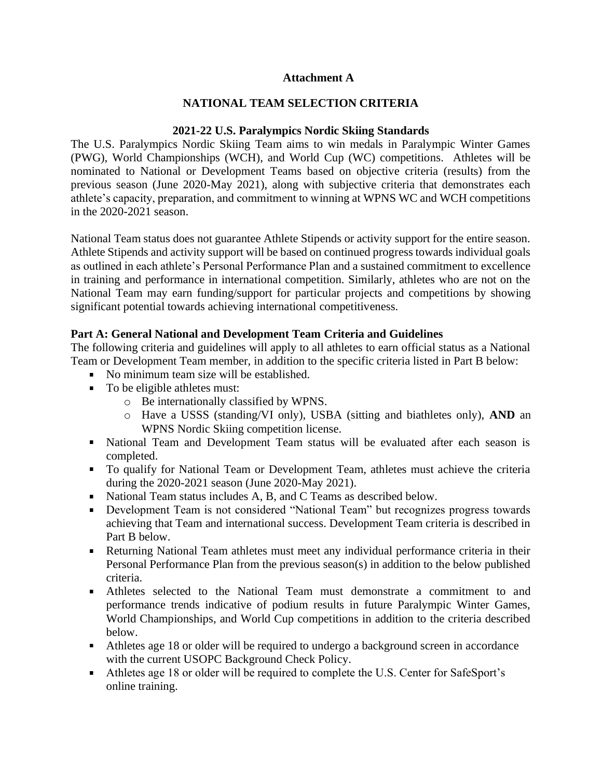#### **Attachment A**

#### **NATIONAL TEAM SELECTION CRITERIA**

#### **2021-22 U.S. Paralympics Nordic Skiing Standards**

The U.S. Paralympics Nordic Skiing Team aims to win medals in Paralympic Winter Games (PWG), World Championships (WCH), and World Cup (WC) competitions. Athletes will be nominated to National or Development Teams based on objective criteria (results) from the previous season (June 2020-May 2021), along with subjective criteria that demonstrates each athlete's capacity, preparation, and commitment to winning at WPNS WC and WCH competitions in the 2020-2021 season.

National Team status does not guarantee Athlete Stipends or activity support for the entire season. Athlete Stipends and activity support will be based on continued progress towards individual goals as outlined in each athlete's Personal Performance Plan and a sustained commitment to excellence in training and performance in international competition. Similarly, athletes who are not on the National Team may earn funding/support for particular projects and competitions by showing significant potential towards achieving international competitiveness.

#### **Part A: General National and Development Team Criteria and Guidelines**

The following criteria and guidelines will apply to all athletes to earn official status as a National Team or Development Team member, in addition to the specific criteria listed in Part B below:

- No minimum team size will be established.
- To be eligible athletes must:
	- o Be internationally classified by WPNS.
	- o Have a USSS (standing/VI only), USBA (sitting and biathletes only), **AND** an WPNS Nordic Skiing competition license.
- National Team and Development Team status will be evaluated after each season is completed.
- To qualify for National Team or Development Team, athletes must achieve the criteria during the 2020-2021 season (June 2020-May 2021).
- National Team status includes A, B, and C Teams as described below.
- Development Team is not considered "National Team" but recognizes progress towards achieving that Team and international success. Development Team criteria is described in Part B below.
- Returning National Team athletes must meet any individual performance criteria in their Personal Performance Plan from the previous season(s) in addition to the below published criteria.
- Athletes selected to the National Team must demonstrate a commitment to and performance trends indicative of podium results in future Paralympic Winter Games, World Championships, and World Cup competitions in addition to the criteria described below.
- Athletes age 18 or older will be required to undergo a background screen in accordance with the current USOPC Background Check Policy.
- Athletes age 18 or older will be required to complete the U.S. Center for SafeSport's online training.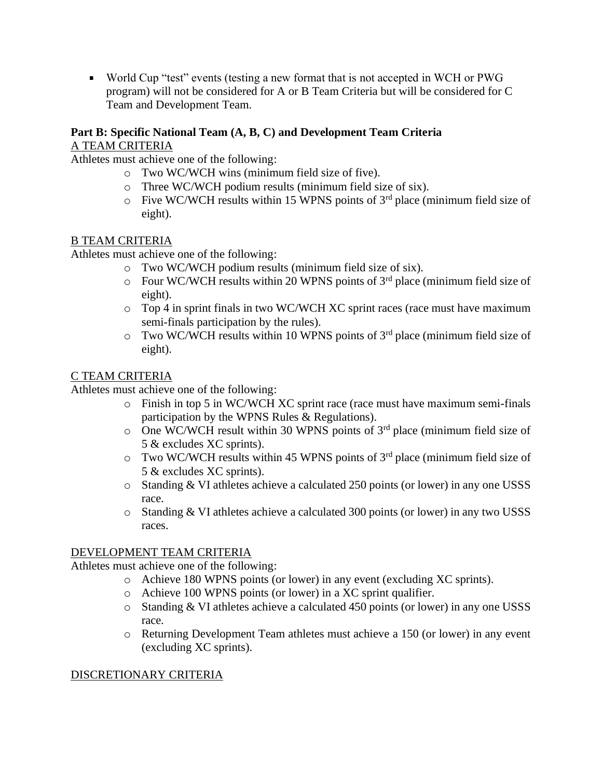World Cup "test" events (testing a new format that is not accepted in WCH or PWG program) will not be considered for A or B Team Criteria but will be considered for C Team and Development Team.

# **Part B: Specific National Team (A, B, C) and Development Team Criteria** A TEAM CRITERIA

Athletes must achieve one of the following:

- o Two WC/WCH wins (minimum field size of five).
- o Three WC/WCH podium results (minimum field size of six).
- $\circ$  Five WC/WCH results within 15 WPNS points of 3<sup>rd</sup> place (minimum field size of eight).

# B TEAM CRITERIA

Athletes must achieve one of the following:

- o Two WC/WCH podium results (minimum field size of six).
- $\circ$  Four WC/WCH results within 20 WPNS points of 3<sup>rd</sup> place (minimum field size of eight).
- o Top 4 in sprint finals in two WC/WCH XC sprint races (race must have maximum semi-finals participation by the rules).
- $\circ$  Two WC/WCH results within 10 WPNS points of 3<sup>rd</sup> place (minimum field size of eight).

# C TEAM CRITERIA

Athletes must achieve one of the following:

- o Finish in top 5 in WC/WCH XC sprint race (race must have maximum semi-finals participation by the WPNS Rules & Regulations).
- $\circ$  One WC/WCH result within 30 WPNS points of 3<sup>rd</sup> place (minimum field size of 5 & excludes XC sprints).
- $\circ$  Two WC/WCH results within 45 WPNS points of 3<sup>rd</sup> place (minimum field size of 5 & excludes XC sprints).
- o Standing & VI athletes achieve a calculated 250 points (or lower) in any one USSS race.
- o Standing & VI athletes achieve a calculated 300 points (or lower) in any two USSS races.

## DEVELOPMENT TEAM CRITERIA

Athletes must achieve one of the following:

- o Achieve 180 WPNS points (or lower) in any event (excluding XC sprints).
	- o Achieve 100 WPNS points (or lower) in a XC sprint qualifier.
	- o Standing & VI athletes achieve a calculated 450 points (or lower) in any one USSS race.
	- o Returning Development Team athletes must achieve a 150 (or lower) in any event (excluding XC sprints).

## DISCRETIONARY CRITERIA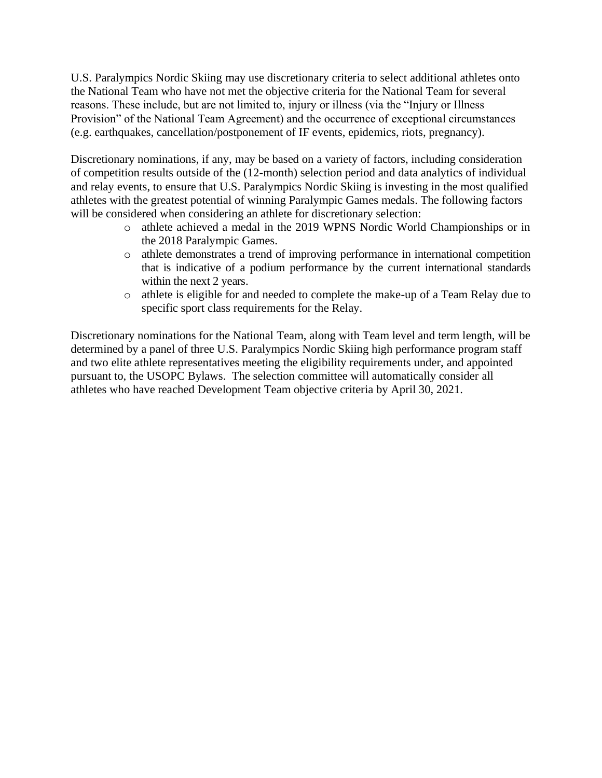U.S. Paralympics Nordic Skiing may use discretionary criteria to select additional athletes onto the National Team who have not met the objective criteria for the National Team for several reasons. These include, but are not limited to, injury or illness (via the "Injury or Illness Provision" of the National Team Agreement) and the occurrence of exceptional circumstances (e.g. earthquakes, cancellation/postponement of IF events, epidemics, riots, pregnancy).

Discretionary nominations, if any, may be based on a variety of factors, including consideration of competition results outside of the (12-month) selection period and data analytics of individual and relay events, to ensure that U.S. Paralympics Nordic Skiing is investing in the most qualified athletes with the greatest potential of winning Paralympic Games medals. The following factors will be considered when considering an athlete for discretionary selection:

- o athlete achieved a medal in the 2019 WPNS Nordic World Championships or in the 2018 Paralympic Games.
- o athlete demonstrates a trend of improving performance in international competition that is indicative of a podium performance by the current international standards within the next 2 years.
- o athlete is eligible for and needed to complete the make-up of a Team Relay due to specific sport class requirements for the Relay.

Discretionary nominations for the National Team, along with Team level and term length, will be determined by a panel of three U.S. Paralympics Nordic Skiing high performance program staff and two elite athlete representatives meeting the eligibility requirements under, and appointed pursuant to, the USOPC Bylaws. The selection committee will automatically consider all athletes who have reached Development Team objective criteria by April 30, 2021.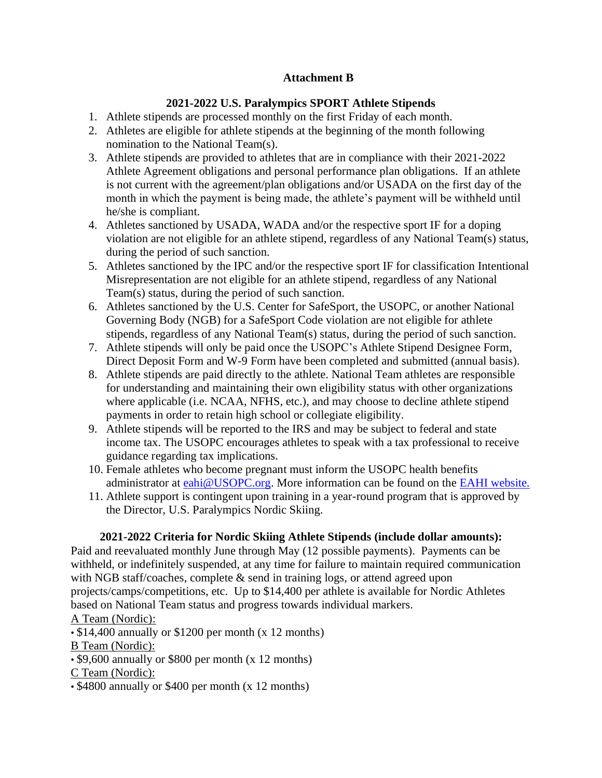# **Attachment B**

# **2021-2022 U.S. Paralympics SPORT Athlete Stipends**

- 1. Athlete stipends are processed monthly on the first Friday of each month.
- 2. Athletes are eligible for athlete stipends at the beginning of the month following nomination to the National Team(s).
- 3. Athlete stipends are provided to athletes that are in compliance with their 2021-2022 Athlete Agreement obligations and personal performance plan obligations. If an athlete is not current with the agreement/plan obligations and/or USADA on the first day of the month in which the payment is being made, the athlete's payment will be withheld until he/she is compliant.
- 4. Athletes sanctioned by USADA, WADA and/or the respective sport IF for a doping violation are not eligible for an athlete stipend, regardless of any National Team(s) status, during the period of such sanction.
- 5. Athletes sanctioned by the IPC and/or the respective sport IF for classification Intentional Misrepresentation are not eligible for an athlete stipend, regardless of any National Team(s) status, during the period of such sanction.
- 6. Athletes sanctioned by the U.S. Center for SafeSport, the USOPC, or another National Governing Body (NGB) for a SafeSport Code violation are not eligible for athlete stipends, regardless of any National Team(s) status, during the period of such sanction.
- 7. Athlete stipends will only be paid once the USOPC's Athlete Stipend Designee Form, Direct Deposit Form and W-9 Form have been completed and submitted (annual basis).
- 8. Athlete stipends are paid directly to the athlete. National Team athletes are responsible for understanding and maintaining their own eligibility status with other organizations where applicable (i.e. NCAA, NFHS, etc.), and may choose to decline athlete stipend payments in order to retain high school or collegiate eligibility.
- 9. Athlete stipends will be reported to the IRS and may be subject to federal and state income tax. The USOPC encourages athletes to speak with a tax professional to receive guidance regarding tax implications.
- 10. Female athletes who become pregnant must inform the USOPC health benefits administrator at [eahi@USOPC.org.](mailto:eahi@USOPC.org) More information can be found on the [EAHI website.](https://www.teamusa.org/Home/Team%20USA%20Athlete%20Services/Medical/Athlete%20Health%20Insurance)
- 11. Athlete support is contingent upon training in a year-round program that is approved by the Director, U.S. Paralympics Nordic Skiing.

# **2021-2022 Criteria for Nordic Skiing Athlete Stipends (include dollar amounts):**

Paid and reevaluated monthly June through May (12 possible payments). Payments can be withheld, or indefinitely suspended, at any time for failure to maintain required communication with NGB staff/coaches, complete & send in training logs, or attend agreed upon projects/camps/competitions, etc. Up to \$14,400 per athlete is available for Nordic Athletes based on National Team status and progress towards individual markers. A Team (Nordic):

• \$14,400 annually or \$1200 per month (x 12 months)

B Team (Nordic):

• \$9,600 annually or \$800 per month (x 12 months)

C Team (Nordic):

• \$4800 annually or \$400 per month (x 12 months)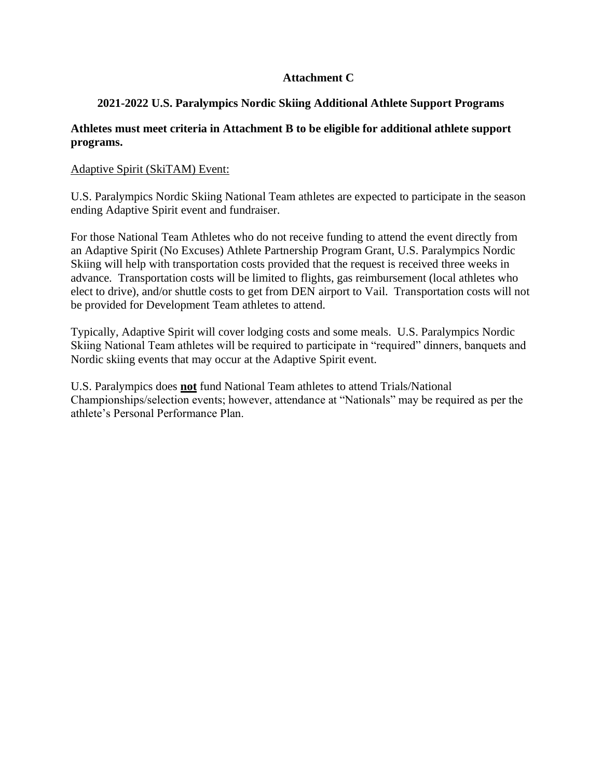## **Attachment C**

## **2021-2022 U.S. Paralympics Nordic Skiing Additional Athlete Support Programs**

#### **Athletes must meet criteria in Attachment B to be eligible for additional athlete support programs.**

#### Adaptive Spirit (SkiTAM) Event:

U.S. Paralympics Nordic Skiing National Team athletes are expected to participate in the season ending Adaptive Spirit event and fundraiser.

For those National Team Athletes who do not receive funding to attend the event directly from an Adaptive Spirit (No Excuses) Athlete Partnership Program Grant, U.S. Paralympics Nordic Skiing will help with transportation costs provided that the request is received three weeks in advance. Transportation costs will be limited to flights, gas reimbursement (local athletes who elect to drive), and/or shuttle costs to get from DEN airport to Vail. Transportation costs will not be provided for Development Team athletes to attend.

Typically, Adaptive Spirit will cover lodging costs and some meals. U.S. Paralympics Nordic Skiing National Team athletes will be required to participate in "required" dinners, banquets and Nordic skiing events that may occur at the Adaptive Spirit event.

U.S. Paralympics does **not** fund National Team athletes to attend Trials/National Championships/selection events; however, attendance at "Nationals" may be required as per the athlete's Personal Performance Plan.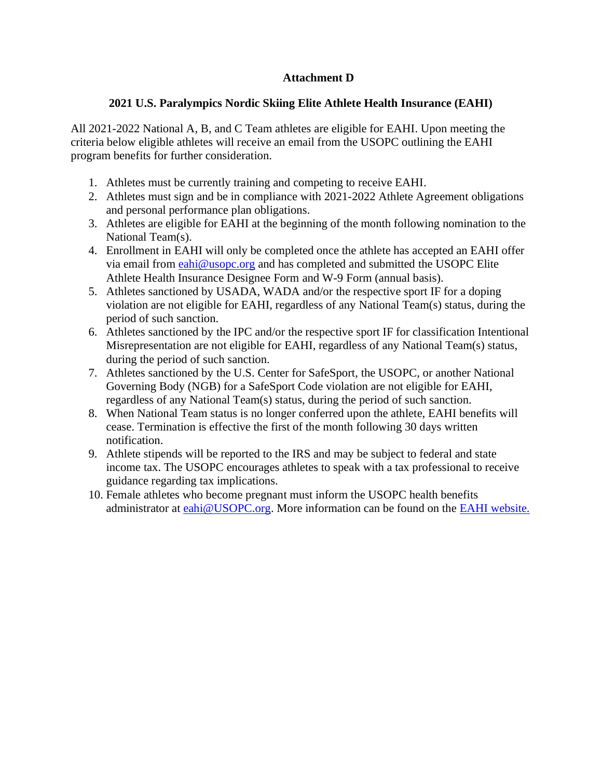## **Attachment D**

# **2021 U.S. Paralympics Nordic Skiing Elite Athlete Health Insurance (EAHI)**

All 2021-2022 National A, B, and C Team athletes are eligible for EAHI. Upon meeting the criteria below eligible athletes will receive an email from the USOPC outlining the EAHI program benefits for further consideration.

- 1. Athletes must be currently training and competing to receive EAHI.
- 2. Athletes must sign and be in compliance with 2021-2022 Athlete Agreement obligations and personal performance plan obligations.
- 3. Athletes are eligible for EAHI at the beginning of the month following nomination to the National Team(s).
- 4. Enrollment in EAHI will only be completed once the athlete has accepted an EAHI offer via email from [eahi@usopc.org](mailto:eahi@usopc.org) and has completed and submitted the USOPC Elite Athlete Health Insurance Designee Form and W-9 Form (annual basis).
- 5. Athletes sanctioned by USADA, WADA and/or the respective sport IF for a doping violation are not eligible for EAHI, regardless of any National Team(s) status, during the period of such sanction.
- 6. Athletes sanctioned by the IPC and/or the respective sport IF for classification Intentional Misrepresentation are not eligible for EAHI, regardless of any National Team(s) status, during the period of such sanction.
- 7. Athletes sanctioned by the U.S. Center for SafeSport, the USOPC, or another National Governing Body (NGB) for a SafeSport Code violation are not eligible for EAHI, regardless of any National Team(s) status, during the period of such sanction.
- 8. When National Team status is no longer conferred upon the athlete, EAHI benefits will cease. Termination is effective the first of the month following 30 days written notification.
- 9. Athlete stipends will be reported to the IRS and may be subject to federal and state income tax. The USOPC encourages athletes to speak with a tax professional to receive guidance regarding tax implications.
- 10. Female athletes who become pregnant must inform the USOPC health benefits administrator at [eahi@USOPC.org.](mailto:eahi@USOPC.org) More information can be found on the [EAHI website.](https://www.teamusa.org/Home/Team%20USA%20Athlete%20Services/Medical/Athlete%20Health%20Insurance)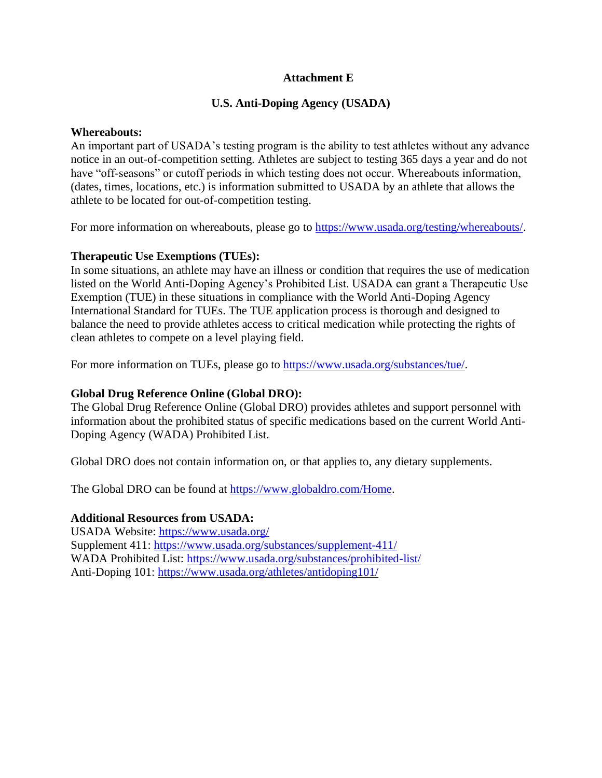#### **Attachment E**

#### **U.S. Anti-Doping Agency (USADA)**

#### **Whereabouts:**

An important part of USADA's testing program is the ability to test athletes without any advance notice in an out-of-competition setting. Athletes are subject to testing 365 days a year and do not have "off-seasons" or cutoff periods in which testing does not occur. Whereabouts information, (dates, times, locations, etc.) is information submitted to USADA by an athlete that allows the athlete to be located for out-of-competition testing.

For more information on whereabouts, please go to [https://www.usada.org/testing/whereabouts/.](https://www.usada.org/testing/whereabouts/)

#### **Therapeutic Use Exemptions (TUEs):**

In some situations, an athlete may have an illness or condition that requires the use of medication listed on the World Anti-Doping Agency's Prohibited List. USADA can grant a Therapeutic Use Exemption (TUE) in these situations in compliance with the World Anti-Doping Agency International Standard for TUEs. The TUE application process is thorough and designed to balance the need to provide athletes access to critical medication while protecting the rights of clean athletes to compete on a level playing field.

For more information on TUEs, please go to [https://www.usada.org/substances/tue/.](https://www.usada.org/substances/tue/)

#### **Global Drug Reference Online (Global DRO):**

The Global Drug Reference Online (Global DRO) provides athletes and support personnel with information about the prohibited status of specific medications based on the current World Anti-Doping Agency (WADA) Prohibited List.

Global DRO does not contain information on, or that applies to, any dietary supplements.

The Global DRO can be found at [https://www.globaldro.com/Home.](https://www.globaldro.com/Home)

#### **Additional Resources from USADA:**

USADA Website:<https://www.usada.org/> Supplement 411:<https://www.usada.org/substances/supplement-411/> WADA Prohibited List:<https://www.usada.org/substances/prohibited-list/> Anti-Doping 101:<https://www.usada.org/athletes/antidoping101/>